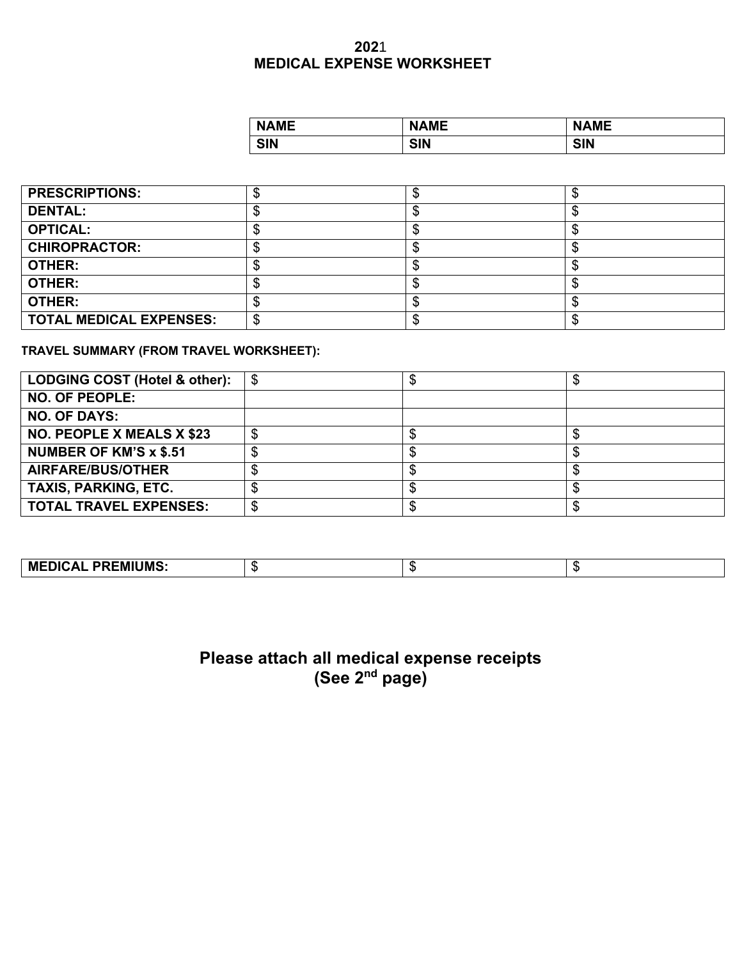## **202**1 **MEDICAL EXPENSE WORKSHEET**

| <b>NAME</b> | <b>NAME</b> | <b>NAME</b> |
|-------------|-------------|-------------|
| <b>SIN</b>  | <b>SIN</b>  | <b>SIN</b>  |

| <b>PRESCRIPTIONS:</b>          |  |  |
|--------------------------------|--|--|
| <b>DENTAL:</b>                 |  |  |
| <b>OPTICAL:</b>                |  |  |
| <b>CHIROPRACTOR:</b>           |  |  |
| <b>OTHER:</b>                  |  |  |
| <b>OTHER:</b>                  |  |  |
| <b>OTHER:</b>                  |  |  |
| <b>TOTAL MEDICAL EXPENSES:</b> |  |  |

**TRAVEL SUMMARY (FROM TRAVEL WORKSHEET):** 

| LODGING COST (Hotel & other):    |  |  |
|----------------------------------|--|--|
| <b>NO. OF PEOPLE:</b>            |  |  |
| <b>NO. OF DAYS:</b>              |  |  |
| <b>NO. PEOPLE X MEALS X \$23</b> |  |  |
| <b>NUMBER OF KM'S x \$.51</b>    |  |  |
| <b>AIRFARE/BUS/OTHER</b>         |  |  |
| <b>TAXIS, PARKING, ETC.</b>      |  |  |
| <b>TOTAL TRAVEL EXPENSES:</b>    |  |  |

| <b>MEDICAL PREMIUMS:</b> | - 11 |  | - 11 |
|--------------------------|------|--|------|
|--------------------------|------|--|------|

## **Please attach all medical expense receipts (See 2nd page)**